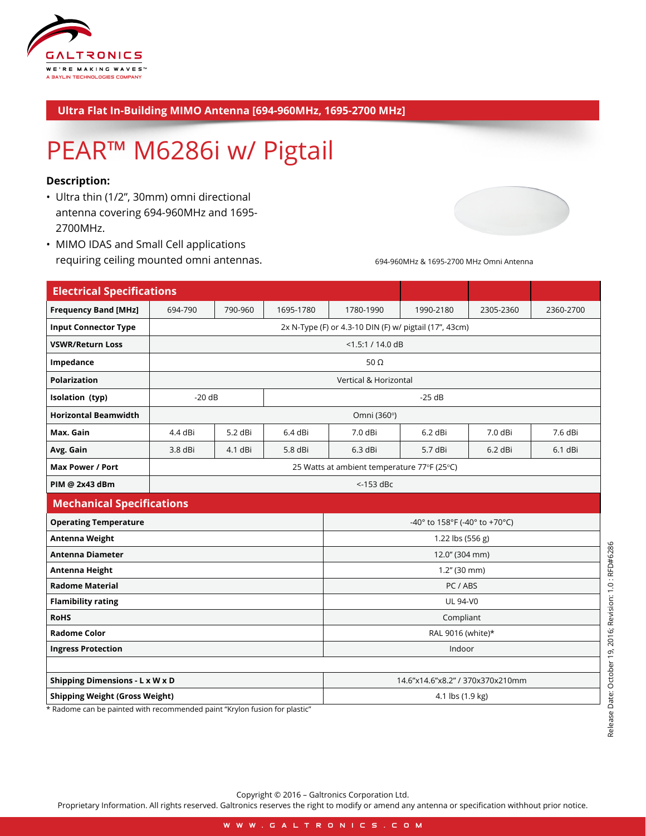

## **Ultra Flat In-Building MIMO Antenna [694-960MHz, 1695-2700 MHz]**

## PEAR™ M6286i w/ Pigtail

## **Description:**

- Ultra thin (1/2", 30mm) omni directional antenna covering 694-960MHz and 1695- 2700MHz.
- MIMO IDAS and Small Cell applications requiring ceiling mounted omni antennas.



694-960MHz & 1695-2700 MHz Omni Antenna

| <b>Electrical Specifications</b>                                                                                                        |                                                        |         |           |                                  |           |           |           |
|-----------------------------------------------------------------------------------------------------------------------------------------|--------------------------------------------------------|---------|-----------|----------------------------------|-----------|-----------|-----------|
| <b>Frequency Band [MHz]</b>                                                                                                             | 694-790                                                | 790-960 | 1695-1780 | 1780-1990                        | 1990-2180 | 2305-2360 | 2360-2700 |
| <b>Input Connector Type</b>                                                                                                             | 2x N-Type (F) or 4.3-10 DIN (F) w/ pigtail (17", 43cm) |         |           |                                  |           |           |           |
| <b>VSWR/Return Loss</b>                                                                                                                 | $<$ 1.5:1 / 14.0 dB                                    |         |           |                                  |           |           |           |
| Impedance                                                                                                                               | 50 $\Omega$                                            |         |           |                                  |           |           |           |
| <b>Polarization</b>                                                                                                                     | Vertical & Horizontal                                  |         |           |                                  |           |           |           |
| Isolation (typ)                                                                                                                         | $-20dB$                                                |         | $-25dB$   |                                  |           |           |           |
| <b>Horizontal Beamwidth</b>                                                                                                             |                                                        |         |           | Omni (360°)                      |           |           |           |
| Max. Gain                                                                                                                               | 4.4 dBi                                                | 5.2 dBi | 6.4 dBi   | 7.0 dBi                          | 6.2 dBi   | 7.0 dBi   | 7.6 dBi   |
| Avg. Gain                                                                                                                               | 3.8 dBi                                                | 4.1 dBi | 5.8 dBi   | $6.3$ dBi                        | 5.7 dBi   | $6.2$ dBi | 6.1 dBi   |
| <b>Max Power / Port</b>                                                                                                                 | 25 Watts at ambient temperature 77°F (25°C)            |         |           |                                  |           |           |           |
| PIM @ 2x43 dBm                                                                                                                          |                                                        |         |           | $<$ -153 dBc                     |           |           |           |
| <b>Mechanical Specifications</b>                                                                                                        |                                                        |         |           |                                  |           |           |           |
| <b>Operating Temperature</b>                                                                                                            |                                                        |         |           | -40° to 158°F (-40° to +70°C)    |           |           |           |
| Antenna Weight                                                                                                                          |                                                        |         |           | 1.22 lbs $(556 g)$               |           |           |           |
| <b>Antenna Diameter</b>                                                                                                                 |                                                        |         |           | 12.0" (304 mm)                   |           |           |           |
| Antenna Height                                                                                                                          |                                                        |         |           | $1.2''$ (30 mm)                  |           |           |           |
| <b>Radome Material</b>                                                                                                                  |                                                        |         |           | PC/ABS                           |           |           |           |
| <b>Flamibility rating</b>                                                                                                               |                                                        |         |           | <b>UL 94-V0</b>                  |           |           |           |
| <b>RoHS</b>                                                                                                                             |                                                        |         |           | Compliant                        |           |           |           |
| <b>Radome Color</b>                                                                                                                     |                                                        |         |           | RAL 9016 (white)*                |           |           |           |
| <b>Ingress Protection</b>                                                                                                               |                                                        |         |           | Indoor                           |           |           |           |
|                                                                                                                                         |                                                        |         |           |                                  |           |           |           |
| <b>Shipping Dimensions - L x W x D</b>                                                                                                  |                                                        |         |           | 14.6"x14.6"x8.2" / 370x370x210mm |           |           |           |
| <b>Shipping Weight (Gross Weight)</b><br>4.1 lbs (1.9 kg)<br>* Radome can be painted with recommended paint "Krylon fusion for plastic" |                                                        |         |           |                                  |           |           |           |

Copyright © 2016 – Galtronics Corporation Ltd.

Proprietary Information. All rights reserved. Galtronics reserves the right to modify or amend any antenna or specification withhout prior notice.